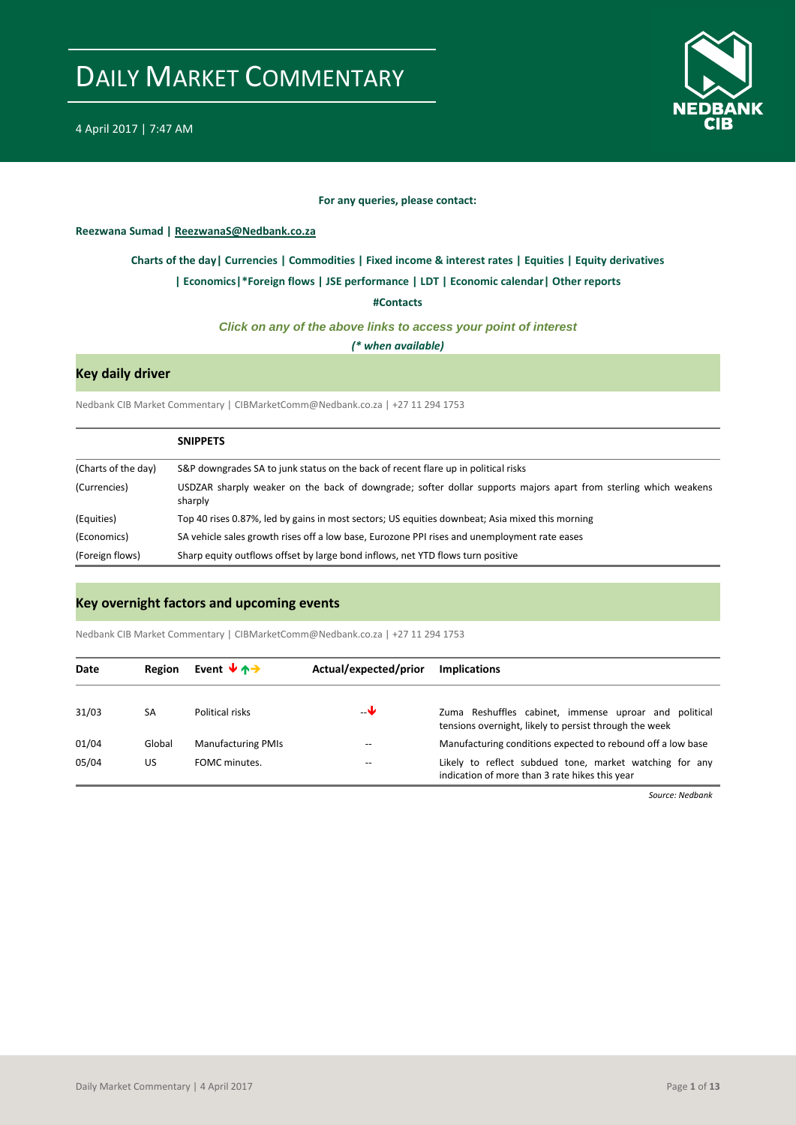

### **For any queries, please contact:**

<span id="page-0-0"></span>**Reezwana Sumad | ReezwanaS@Nedbank.co.za**

### **[Charts of the day|](#page-1-0) [Currencies](#page-3-0) [| Commodities](#page-4-0) | [Fixed income & interest rates](#page-5-0) [| Equities](#page-6-0) | Equity derivatives**

#### **[| Economics|](#page-7-0)[\\*Foreign flows](#page-8-0) | [JSE performance](#page-9-0) [| LDT](#page-10-0) [| Economic calendar|](#page-10-1) Other reports**

**[#Contacts](#page-11-0)**

### *Click on any of the above links to access your point of interest*

*(\* when available)*

### **Key daily driver**

Nedbank CIB Market Commentary | CIBMarketComm@Nedbank.co.za | +27 11 294 1753

|                     | <b>SNIPPETS</b>                                                                                                            |
|---------------------|----------------------------------------------------------------------------------------------------------------------------|
| (Charts of the day) | S&P downgrades SA to junk status on the back of recent flare up in political risks                                         |
| (Currencies)        | USDZAR sharply weaker on the back of downgrade; softer dollar supports majors apart from sterling which weakens<br>sharply |
| (Equities)          | Top 40 rises 0.87%, led by gains in most sectors; US equities downbeat; Asia mixed this morning                            |
| (Economics)         | SA vehicle sales growth rises off a low base, Eurozone PPI rises and unemployment rate eases                               |
| (Foreign flows)     | Sharp equity outflows offset by large bond inflows, net YTD flows turn positive                                            |

### **Key overnight factors and upcoming events**

Nedbank CIB Market Commentary | CIBMarketComm@Nedbank.co.za | +27 11 294 1753

| Date  | Region | Event $\forall$ $\land \rightarrow$ | Actual/expected/prior | <b>Implications</b>                                                                                             |
|-------|--------|-------------------------------------|-----------------------|-----------------------------------------------------------------------------------------------------------------|
| 31/03 | SA     | Political risks                     | $-\mathbf{v}$         | Zuma Reshuffles cabinet, immense uproar and political<br>tensions overnight, likely to persist through the week |
| 01/04 | Global | <b>Manufacturing PMIs</b>           |                       | Manufacturing conditions expected to rebound off a low base                                                     |
| 05/04 | US     | FOMC minutes.                       | $- -$                 | Likely to reflect subdued tone, market watching for any<br>indication of more than 3 rate hikes this year       |

*Source: Nedbank*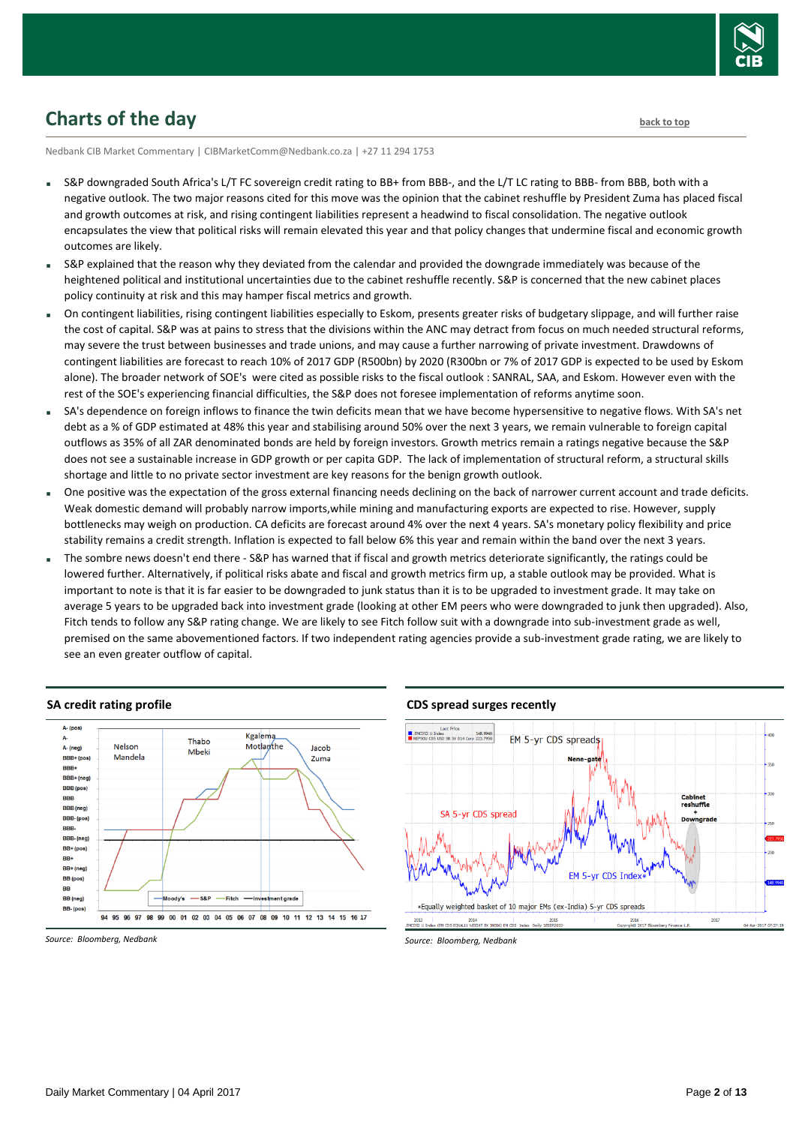

# <span id="page-1-0"></span>**Charts of the day** [back to top](#page-0-0) **back to top**

Nedbank CIB Market Commentary | CIBMarketComm@Nedbank.co.za | +27 11 294 1753

- S&P downgraded South Africa's L/T FC sovereign credit rating to BB+ from BBB-, and the L/T LC rating to BBB- from BBB, both with a negative outlook. The two major reasons cited for this move was the opinion that the cabinet reshuffle by President Zuma has placed fiscal and growth outcomes at risk, and rising contingent liabilities represent a headwind to fiscal consolidation. The negative outlook encapsulates the view that political risks will remain elevated this year and that policy changes that undermine fiscal and economic growth outcomes are likely.
- S&P explained that the reason why they deviated from the calendar and provided the downgrade immediately was because of the heightened political and institutional uncertainties due to the cabinet reshuffle recently. S&P is concerned that the new cabinet places policy continuity at risk and this may hamper fiscal metrics and growth.
- On contingent liabilities, rising contingent liabilities especially to Eskom, presents greater risks of budgetary slippage, and will further raise the cost of capital. S&P was at pains to stress that the divisions within the ANC may detract from focus on much needed structural reforms, may severe the trust between businesses and trade unions, and may cause a further narrowing of private investment. Drawdowns of contingent liabilities are forecast to reach 10% of 2017 GDP (R500bn) by 2020 (R300bn or 7% of 2017 GDP is expected to be used by Eskom alone). The broader network of SOE's were cited as possible risks to the fiscal outlook : SANRAL, SAA, and Eskom. However even with the rest of the SOE's experiencing financial difficulties, the S&P does not foresee implementation of reforms anytime soon.
- SA's dependence on foreign inflows to finance the twin deficits mean that we have become hypersensitive to negative flows. With SA's net debt as a % of GDP estimated at 48% this year and stabilising around 50% over the next 3 years, we remain vulnerable to foreign capital outflows as 35% of all ZAR denominated bonds are held by foreign investors. Growth metrics remain a ratings negative because the S&P does not see a sustainable increase in GDP growth or per capita GDP. The lack of implementation of structural reform, a structural skills shortage and little to no private sector investment are key reasons for the benign growth outlook.
- One positive was the expectation of the gross external financing needs declining on the back of narrower current account and trade deficits. Weak domestic demand will probably narrow imports,while mining and manufacturing exports are expected to rise. However, supply bottlenecks may weigh on production. CA deficits are forecast around 4% over the next 4 years. SA's monetary policy flexibility and price stability remains a credit strength. Inflation is expected to fall below 6% this year and remain within the band over the next 3 years.
- The sombre news doesn't end there S&P has warned that if fiscal and growth metrics deteriorate significantly, the ratings could be lowered further. Alternatively, if political risks abate and fiscal and growth metrics firm up, a stable outlook may be provided. What is important to note is that it is far easier to be downgraded to junk status than it is to be upgraded to investment grade. It may take on average 5 years to be upgraded back into investment grade (looking at other EM peers who were downgraded to junk then upgraded). Also, Fitch tends to follow any S&P rating change. We are likely to see Fitch follow suit with a downgrade into sub-investment grade as well, premised on the same abovementioned factors. If two independent rating agencies provide a sub-investment grade rating, we are likely to see an even greater outflow of capital.



#### **SA credit rating profile**

*Source: Bloomberg, Nedbank*

#### **CDS spread surges recently**

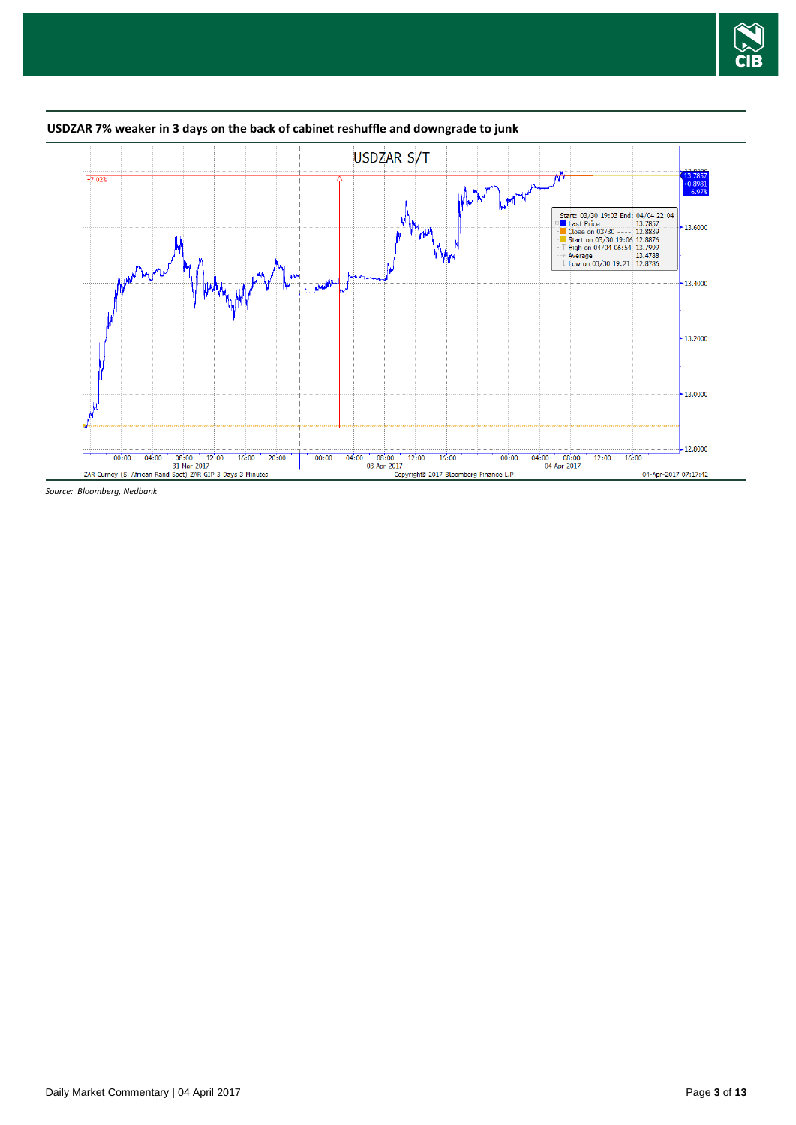



### **USDZAR 7% weaker in 3 days on the back of cabinet reshuffle and downgrade to junk**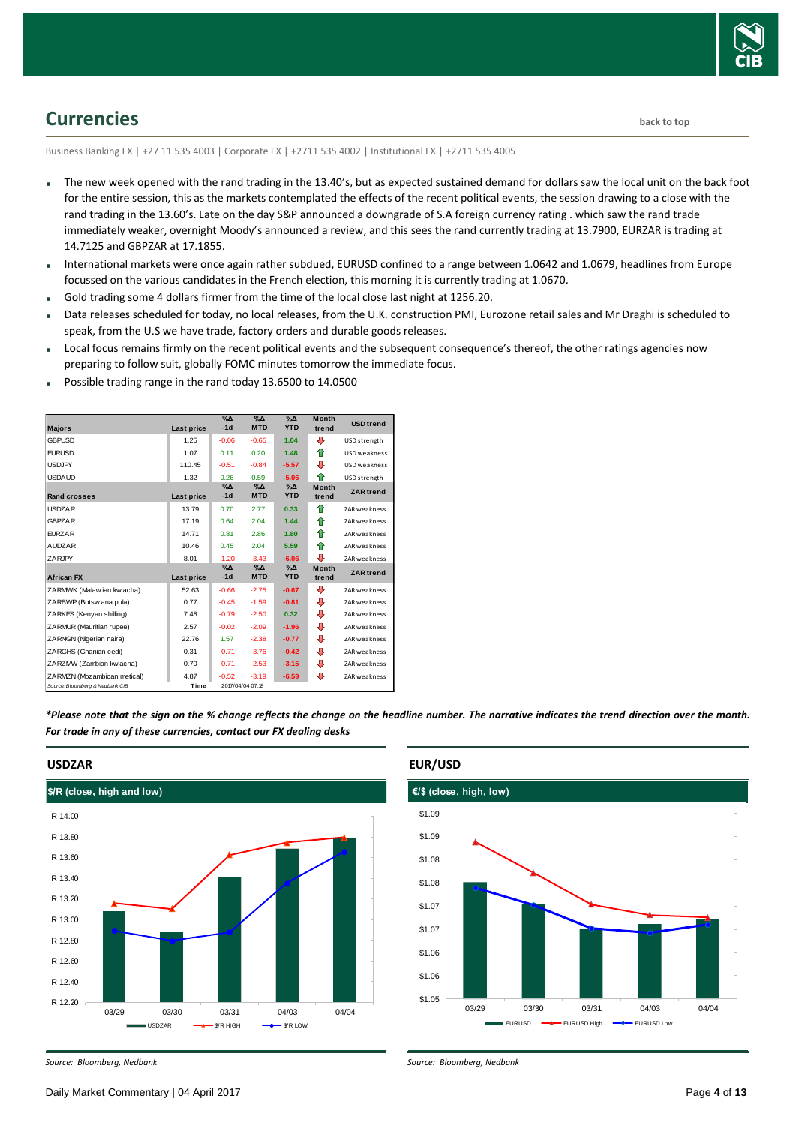

# <span id="page-3-0"></span>**Currencies [back to top](#page-0-0)**

Business Banking FX | +27 11 535 4003 | Corporate FX | +2711 535 4002 | Institutional FX | +2711 535 4005

- The new week opened with the rand trading in the 13.40's, but as expected sustained demand for dollars saw the local unit on the back foot for the entire session, this as the markets contemplated the effects of the recent political events, the session drawing to a close with the rand trading in the 13.60's. Late on the day S&P announced a downgrade of S.A foreign currency rating . which saw the rand trade immediately weaker, overnight Moody's announced a review, and this sees the rand currently trading at 13.7900, EURZAR is trading at 14.7125 and GBPZAR at 17.1855.
- International markets were once again rather subdued, EURUSD confined to a range between 1.0642 and 1.0679, headlines from Europe focussed on the various candidates in the French election, this morning it is currently trading at 1.0670.
- Gold trading some 4 dollars firmer from the time of the local close last night at 1256.20.
- Data releases scheduled for today, no local releases, from the U.K. construction PMI, Eurozone retail sales and Mr Draghi is scheduled to speak, from the U.S we have trade, factory orders and durable goods releases.
- Local focus remains firmly on the recent political events and the subsequent consequence's thereof, the other ratings agencies now preparing to follow suit, globally FOMC minutes tomorrow the immediate focus.
- Possible trading range in the rand today 13.6500 to 14.0500

|                                 |            | $\sqrt{2}$    | $\Delta_0$       | $\sqrt{\Delta}$ | <b>Month</b> | <b>USD</b> trend    |
|---------------------------------|------------|---------------|------------------|-----------------|--------------|---------------------|
| <b>Majors</b>                   | Last price | $-1d$         | <b>MTD</b>       | <b>YTD</b>      | trend        |                     |
| <b>GBPUSD</b>                   | 1.25       | $-0.06$       | $-0.65$          | 1.04            | ⊕            | USD strength        |
| <b>EURUSD</b>                   | 1.07       | 0.11          | 0.20             | 1.48            | ⇑            | USD weakness        |
| <b>USDJPY</b>                   | 110.45     | $-0.51$       | $-0.84$          | $-5.57$         | ⊕            | USD weakness        |
| <b>USDAUD</b>                   | 1.32       | 0.26          | 0.59             | $-5.06$         | ♠            | USD strength        |
|                                 |            | $\%$ $\Delta$ | $\%$ $\Delta$    | $\%$ $\Delta$   | <b>Month</b> | <b>ZAR</b> trend    |
| <b>Rand crosses</b>             | Last price | $-1d$         | <b>MTD</b>       | <b>YTD</b>      | trend        |                     |
| <b>USDZAR</b>                   | 13.79      | 0.70          | 2.77             | 0.33            | 全            | ZAR weakness        |
| <b>GBPZAR</b>                   | 17.19      | 0.64          | 2.04             | 1.44            | ⇑            | ZAR weakness        |
| <b>EURZAR</b>                   | 14.71      | 0.81          | 2.86             | 1.80            | ♠            | ZAR weakness        |
| <b>AUDZAR</b>                   | 10.46      | 0.45          | 2.04             | 5.59            | ♠            | ZAR weakness        |
| ZARJPY                          | 8.01       | $-1.20$       | $-3.43$          | $-6.06$         | ⊕            | <b>ZAR</b> weakness |
|                                 |            | $\%$ $\Delta$ | %Δ               | $\Delta_0$      | <b>Month</b> | <b>ZAR</b> trend    |
| <b>African FX</b>               | Last price | $-1d$         | <b>MTD</b>       | <b>YTD</b>      | trend        |                     |
| ZARMWK (Malaw ian kw acha)      | 52.63      | $-0.66$       | $-2.75$          | $-0.67$         | ⊕            | ZAR weakness        |
| ZARBWP (Botsw ana pula)         | 0.77       | $-0.45$       | $-1.59$          | $-0.81$         | ⊕            | ZAR weakness        |
| ZARKES (Kenyan shilling)        | 7.48       | $-0.79$       | $-2.50$          | 0.32            | ⊕            | ZAR weakness        |
| ZARMUR (Mauritian rupee)        | 2.57       | $-0.02$       | $-2.09$          | $-1.96$         | ⊕            | <b>ZAR</b> weakness |
| ZARNGN (Nigerian naira)         | 22.76      | 1.57          | $-2.38$          | $-0.77$         | ⊕            | <b>ZAR</b> weakness |
| ZARGHS (Ghanian cedi)           | 0.31       | $-0.71$       | $-3.76$          | $-0.42$         | ⊕            | <b>ZAR</b> weakness |
| ZARZMW (Zambian kw acha)        | 0.70       | $-0.71$       | $-2.53$          | $-3.15$         | ⊕            | <b>ZAR</b> weakness |
| ZARMZN (Mozambican metical)     | 4.87       | $-0.52$       | $-3.19$          | $-6.59$         | ⊕            | ZAR weakness        |
| Source: Bloomberg & Nedbank CIB | Time       |               | 2017/04/04 07:18 |                 |              |                     |

*\*Please note that the sign on the % change reflects the change on the headline number. The narrative indicates the trend direction over the month. For trade in any of these currencies, contact our FX dealing desks*



### **USDZAR**





*Source: Bloomberg, Nedbank*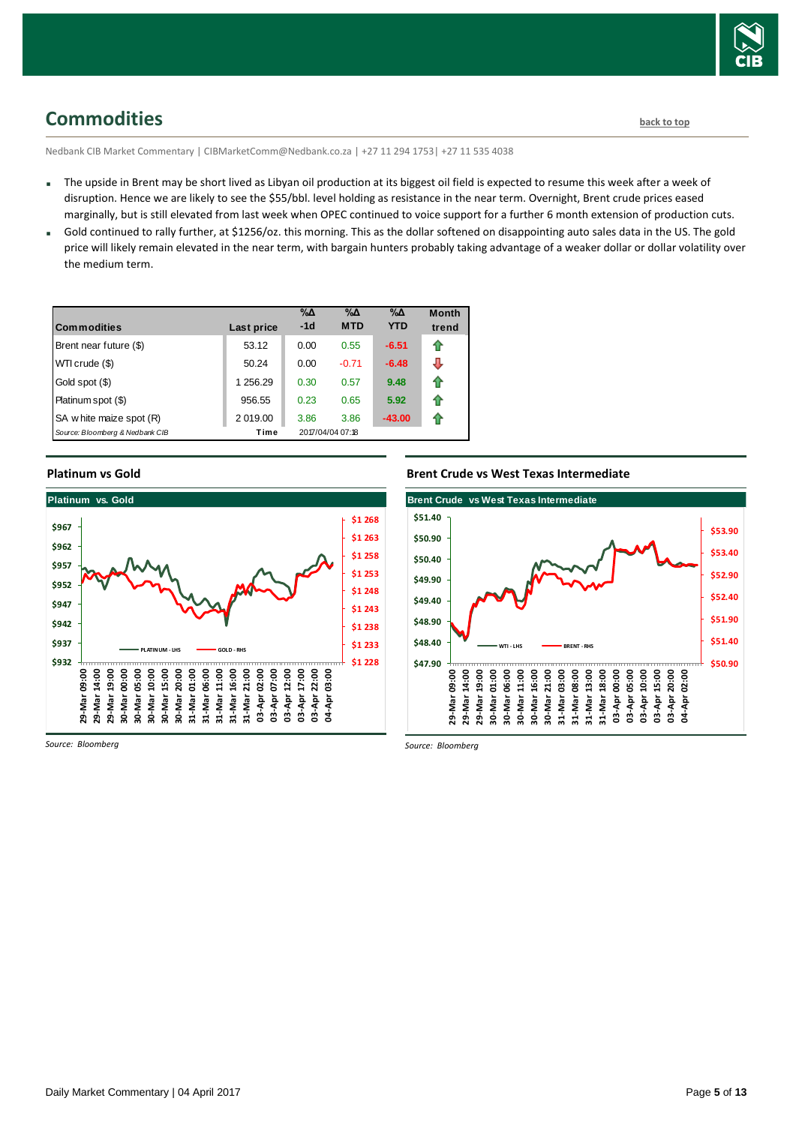

# <span id="page-4-0"></span>**Commodities [back to top](#page-0-0)**

Nedbank CIB Market Commentary | CIBMarketComm@Nedbank.co.za | +27 11 294 1753| +27 11 535 4038

- The upside in Brent may be short lived as Libyan oil production at its biggest oil field is expected to resume this week after a week of disruption. Hence we are likely to see the \$55/bbl. level holding as resistance in the near term. Overnight, Brent crude prices eased marginally, but is still elevated from last week when OPEC continued to voice support for a further 6 month extension of production cuts.
- Gold continued to rally further, at \$1256/oz. this morning. This as the dollar softened on disappointing auto sales data in the US. The gold price will likely remain elevated in the near term, with bargain hunters probably taking advantage of a weaker dollar or dollar volatility over the medium term.

| <b>Commodities</b>              | Last price | $\% \Delta$<br>$-1d$ | $\% \Delta$<br><b>MTD</b> | %Δ<br><b>YTD</b> | <b>Month</b><br>trend |
|---------------------------------|------------|----------------------|---------------------------|------------------|-----------------------|
| Brent near future (\$)          | 53.12      | 0.00                 | 0.55                      | $-6.51$          | ⇑                     |
| WTI crude (\$)                  | 50.24      | 0.00                 | $-0.71$                   | $-6.48$          | ⊕                     |
| Gold spot (\$)                  | 1 256.29   | 0.30                 | 0.57                      | 9.48             | ⇑                     |
| Platinum spot (\$)              | 956.55     | 0.23                 | 0.65                      | 5.92             | ⇑                     |
| SA w hite maize spot (R)        | 2 019.00   | 3.86                 | 3.86                      | $-43.00$         | €                     |
| Source: Bloomberg & Nedbank CIB | Time       |                      | 2017/04/04 07:18          |                  |                       |

#### **Platinum vs Gold**



*Source: Bloomberg*

### **Brent Crude vs West Texas Intermediate**



*Source: Bloomberg*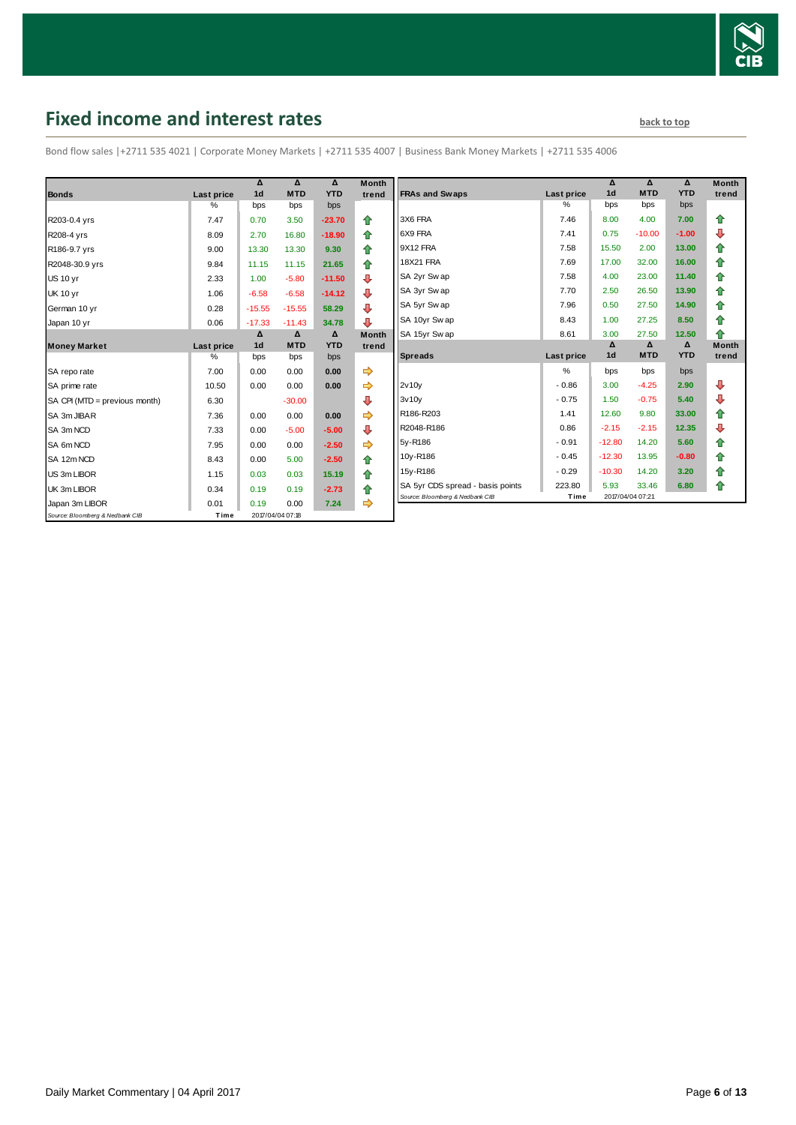

# <span id="page-5-0"></span>**Fixed income and interest rates back to the line of the set of the set of the set of the set of the set of the set of the set of the set of the set of the set of the set of the set of the set of the set of the set of th**

Bond flow sales |+2711 535 4021 | Corporate Money Markets | +2711 535 4007 | Business Bank Money Markets | +2711 535 4006

|                                 |                   | Δ              | Δ                | Δ          | <b>Month</b> |
|---------------------------------|-------------------|----------------|------------------|------------|--------------|
| <b>Bonds</b>                    | <b>Last price</b> | 1 <sub>d</sub> | <b>MTD</b>       | <b>YTD</b> | trend        |
|                                 | %                 | bps            | bps              | bps        |              |
| R203-0.4 yrs                    | 7.47              | 0.70           | 3.50             | $-23.70$   | ⇑            |
| R208-4 yrs                      | 8.09              | 2.70           | 16.80            | $-18.90$   | 合            |
| R186-9.7 yrs                    | 9.00              | 13.30          | 13.30            | 9.30       | ⇑            |
| R2048-30.9 yrs                  | 9.84              | 11.15          | 11.15            | 21.65      | ⇮            |
| <b>US 10 yr</b>                 | 2.33              | 1.00           | $-5.80$          | $-11.50$   | ⊕            |
| <b>UK 10 yr</b>                 | 1.06              | $-6.58$        | $-6.58$          | $-14.12$   | ⊕            |
| German 10 yr                    | 0.28              | $-15.55$       | $-15.55$         | 58.29      | ⊕            |
| Japan 10 yr                     | 0.06              | $-17.33$       | $-11.43$         | 34.78      | ⊕            |
|                                 |                   | Δ              | Δ                | Δ          | <b>Month</b> |
| <b>Money Market</b>             | Last price        | 1 <sub>d</sub> | <b>MTD</b>       | <b>YTD</b> | trend        |
|                                 | $\%$              | bps            | bps              | bps        |              |
| SA repo rate                    | 7.00              | 0.00           | 0.00             | 0.00       | ⇛            |
| SA prime rate                   | 10.50             | 0.00           | 0.00             | 0.00       |              |
| SA CPI (MTD = previous month)   | 6.30              |                | $-30.00$         |            | ⊕            |
| SA 3m JIBAR                     | 7.36              | 0.00           | 0.00             | 0.00       |              |
| SA 3m NCD                       | 7.33              | 0.00           | $-5.00$          | $-5.00$    | ⊕            |
| SA 6m NCD                       | 7.95              | 0.00           | 0.00             | $-2.50$    | ⇨            |
| SA 12m NCD                      | 8.43              | 0.00           | 5.00             | $-2.50$    | 合            |
| US 3m LIBOR                     | 1.15              | 0.03           | 0.03             | 15.19      | 合            |
| UK 3m LIBOR                     | 0.34              | 0.19           | 0.19             | $-2.73$    | ⇑            |
| Japan 3m LIBOR                  | 0.01              | 0.19           | 0.00             | 7.24       | ⇨            |
| Source: Bloomberg & Nedbank CIB | Time              |                | 2017/04/04 07:18 |            |              |

|                                  |            | Δ              | Δ          | Δ          | <b>Month</b> |
|----------------------------------|------------|----------------|------------|------------|--------------|
| <b>FRAs and Swaps</b>            | Last price | 1 <sub>d</sub> | <b>MTD</b> | <b>YTD</b> | trend        |
|                                  | %          | bps            | bps        | bps        |              |
| 3X6 FRA                          | 7.46       | 8.00           | 4.00       | 7.00       | ⇑            |
| 6X9 FRA                          | 7.41       | 0.75           | $-10.00$   | $-1.00$    | ⊕            |
| 9X12 FRA                         | 7.58       | 15.50          | 2.00       | 13.00      | 合            |
| <b>18X21 FRA</b>                 | 7.69       | 17.00          | 32.00      | 16.00      | ✿            |
| SA 2yr Sw ap                     | 7.58       | 4.00           | 23.00      | 11.40      | 合            |
| SA 3yr Sw ap                     | 7.70       | 2.50           | 26.50      | 13.90      | 合            |
| SA 5yr Sw ap                     | 7.96       | 0.50           | 27.50      | 14.90      | ⇮            |
| SA 10yr Sw ap                    | 8.43       | 1.00           | 27.25      | 8.50       | 合            |
| SA 15yr Swap                     | 8.61       | 3.00           | 27.50      | 12.50      | ♠            |
|                                  |            | Δ              | Δ          | Δ          | <b>Month</b> |
| <b>Spreads</b>                   | Last price | 1 <sub>d</sub> | <b>MTD</b> | <b>YTD</b> | trend        |
|                                  | $\%$       | bps            | bps        | bps        |              |
| 2v10v                            | $-0.86$    | 3.00           | $-4.25$    | 2.90       | ⊕            |
| 3v10v                            | $-0.75$    | 1.50           | $-0.75$    | 5.40       | ⊕            |
| R186-R203                        | 1.41       | 12.60          | 9.80       | 33.00      | 合            |
| R2048-R186                       | 0.86       | $-2.15$        | $-2.15$    | 12.35      | ⊕            |
| 5y-R186                          | $-0.91$    | $-12.80$       | 14.20      | 5.60       | ✿            |
| 10y-R186                         | $-0.45$    | $-12.30$       | 13.95      | $-0.80$    | 合            |
| 15y-R186                         | $-0.29$    | $-10.30$       | 14.20      | 3.20       | 合            |
| SA 5yr CDS spread - basis points | 223.80     | 5.93           | 33.46      | 6.80       | ⇑            |
|                                  |            |                |            |            |              |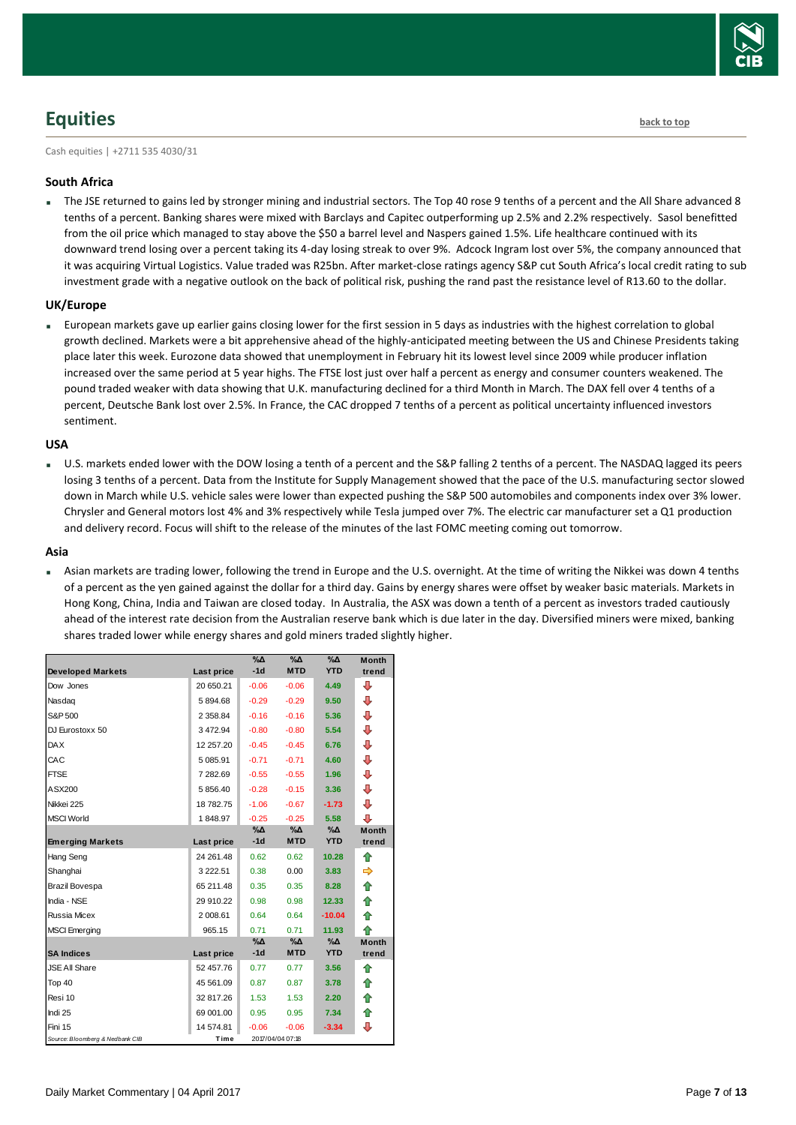

# <span id="page-6-0"></span>**Equities [back to top](#page-0-0)**

Cash equities | +2711 535 4030/31

### **South Africa**

 The JSE returned to gains led by stronger mining and industrial sectors. The Top 40 rose 9 tenths of a percent and the All Share advanced 8 tenths of a percent. Banking shares were mixed with Barclays and Capitec outperforming up 2.5% and 2.2% respectively. Sasol benefitted from the oil price which managed to stay above the \$50 a barrel level and Naspers gained 1.5%. Life healthcare continued with its downward trend losing over a percent taking its 4-day losing streak to over 9%. Adcock Ingram lost over 5%, the company announced that it was acquiring Virtual Logistics. Value traded was R25bn. After market-close ratings agency S&P cut South Africa's local credit rating to sub investment grade with a negative outlook on the back of political risk, pushing the rand past the resistance level of R13.60 to the dollar.

### **UK/Europe**

 European markets gave up earlier gains closing lower for the first session in 5 days as industries with the highest correlation to global growth declined. Markets were a bit apprehensive ahead of the highly-anticipated meeting between the US and Chinese Presidents taking place later this week. Eurozone data showed that unemployment in February hit its lowest level since 2009 while producer inflation increased over the same period at 5 year highs. The FTSE lost just over half a percent as energy and consumer counters weakened. The pound traded weaker with data showing that U.K. manufacturing declined for a third Month in March. The DAX fell over 4 tenths of a percent, Deutsche Bank lost over 2.5%. In France, the CAC dropped 7 tenths of a percent as political uncertainty influenced investors sentiment.

#### **USA**

 U.S. markets ended lower with the DOW losing a tenth of a percent and the S&P falling 2 tenths of a percent. The NASDAQ lagged its peers losing 3 tenths of a percent. Data from the Institute for Supply Management showed that the pace of the U.S. manufacturing sector slowed down in March while U.S. vehicle sales were lower than expected pushing the S&P 500 automobiles and components index over 3% lower. Chrysler and General motors lost 4% and 3% respectively while Tesla jumped over 7%. The electric car manufacturer set a Q1 production and delivery record. Focus will shift to the release of the minutes of the last FOMC meeting coming out tomorrow.

#### **Asia**

 Asian markets are trading lower, following the trend in Europe and the U.S. overnight. At the time of writing the Nikkei was down 4 tenths of a percent as the yen gained against the dollar for a third day. Gains by energy shares were offset by weaker basic materials. Markets in Hong Kong, China, India and Taiwan are closed today. In Australia, the ASX was down a tenth of a percent as investors traded cautiously ahead of the interest rate decision from the Australian reserve bank which is due later in the day. Diversified miners were mixed, banking shares traded lower while energy shares and gold miners traded slightly higher.

|                                 |             | %Δ          | %Δ               | %Δ         | <b>Month</b> |
|---------------------------------|-------------|-------------|------------------|------------|--------------|
| <b>Developed Markets</b>        | Last price  | $-1d$       | <b>MTD</b>       | <b>YTD</b> | trend        |
| Dow Jones                       | 20 650.21   | $-0.06$     | $-0.06$          | 4.49       | ⊕            |
| Nasdag                          | 5894.68     | $-0.29$     | $-0.29$          | 9.50       | ⊕            |
| S&P 500                         | 2 3 5 8.8 4 | $-0.16$     | $-0.16$          | 5.36       | ⊕            |
| DJ Eurostoxx 50                 | 3 472.94    | $-0.80$     | $-0.80$          | 5.54       | ⊕            |
| <b>DAX</b>                      | 12 257.20   | $-0.45$     | $-0.45$          | 6.76       | ⊕            |
| CAC                             | 5 085.91    | $-0.71$     | $-0.71$          | 4.60       | ⊕            |
| <b>FTSE</b>                     | 7 282.69    | $-0.55$     | $-0.55$          | 1.96       | ⊕            |
| ASX200                          | 5 856.40    | $-0.28$     | $-0.15$          | 3.36       | ⊕            |
| Nikkei 225                      | 18 782.75   | $-1.06$     | $-0.67$          | $-1.73$    | ⇩            |
| <b>MSCI World</b>               | 1848.97     | $-0.25$     | $-0.25$          | 5.58       | J            |
|                                 |             | %Δ          | %Δ               | %Δ         | <b>Month</b> |
| <b>Emerging Markets</b>         | Last price  | $-1d$       | <b>MTD</b>       | <b>YTD</b> | trend        |
| Hang Seng                       | 24 261.48   | 0.62        | 0.62             | 10.28      | ⇑            |
| Shanghai                        | 3 2 2 2 .51 | 0.38        | 0.00             | 3.83       |              |
| Brazil Bovespa                  | 65 211.48   | 0.35        | 0.35             | 8.28       | ⇮            |
| India - NSE                     | 29 910.22   | 0.98        | 0.98             | 12.33      | ↟            |
| Russia Micex                    | 2 008.61    | 0.64        | 0.64             | $-10.04$   | ⇑            |
| <b>MSCI</b> Emerging            | 965.15      | 0.71        | 0.71             | 11.93      | 全            |
|                                 |             | $\% \Delta$ | %Δ               | %Δ         | <b>Month</b> |
| <b>SA Indices</b>               | Last price  | $-1d$       | <b>MTD</b>       | <b>YTD</b> | trend        |
| <b>JSE All Share</b>            | 52 457.76   | 0.77        | 0.77             | 3.56       | ♠            |
| Top 40                          | 45 561.09   | 0.87        | 0.87             | 3.78       | ⇑            |
| Resi 10                         | 32 817.26   | 1.53        | 1.53             | 2.20       | ✿            |
| Indi 25                         | 69 001.00   | 0.95        | 0.95             | 7.34       | 合            |
| Fini 15                         | 14 574.81   | $-0.06$     | $-0.06$          | $-3.34$    | ⊕            |
| Source: Bloomberg & Nedbank CIB | Time        |             | 2017/04/04 07:18 |            |              |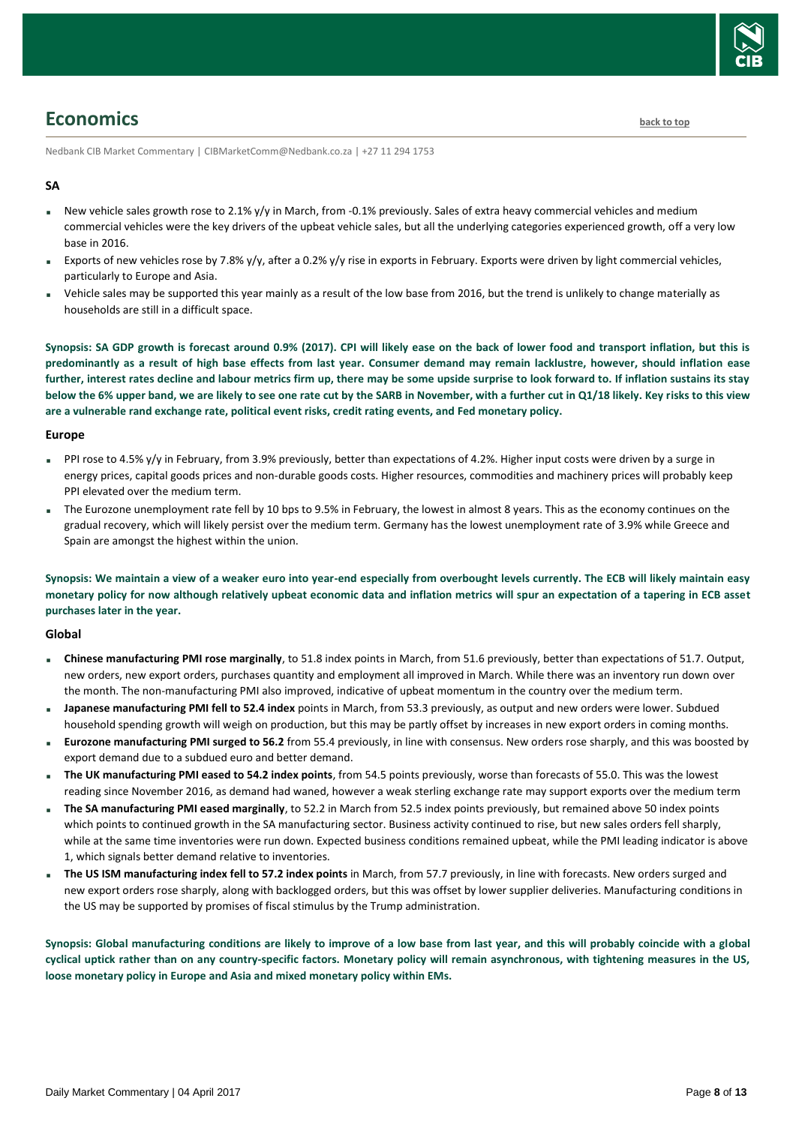

### <span id="page-7-0"></span>**Economics [back to top](#page-0-0)**

Nedbank CIB Market Commentary | CIBMarketComm@Nedbank.co.za | +27 11 294 1753

### **SA**

- New vehicle sales growth rose to 2.1% y/y in March, from -0.1% previously. Sales of extra heavy commercial vehicles and medium commercial vehicles were the key drivers of the upbeat vehicle sales, but all the underlying categories experienced growth, off a very low base in 2016.
- Exports of new vehicles rose by 7.8% y/y, after a 0.2% y/y rise in exports in February. Exports were driven by light commercial vehicles, particularly to Europe and Asia.
- Vehicle sales may be supported this year mainly as a result of the low base from 2016, but the trend is unlikely to change materially as households are still in a difficult space.

**Synopsis: SA GDP growth is forecast around 0.9% (2017). CPI will likely ease on the back of lower food and transport inflation, but this is predominantly as a result of high base effects from last year. Consumer demand may remain lacklustre, however, should inflation ease further, interest rates decline and labour metrics firm up, there may be some upside surprise to look forward to. If inflation sustains its stay below the 6% upper band, we are likely to see one rate cut by the SARB in November, with a further cut in Q1/18 likely. Key risks to this view are a vulnerable rand exchange rate, political event risks, credit rating events, and Fed monetary policy.**

#### **Europe**

- PPI rose to 4.5% y/y in February, from 3.9% previously, better than expectations of 4.2%. Higher input costs were driven by a surge in energy prices, capital goods prices and non-durable goods costs. Higher resources, commodities and machinery prices will probably keep PPI elevated over the medium term.
- The Eurozone unemployment rate fell by 10 bps to 9.5% in February, the lowest in almost 8 years. This as the economy continues on the gradual recovery, which will likely persist over the medium term. Germany has the lowest unemployment rate of 3.9% while Greece and Spain are amongst the highest within the union.

**Synopsis: We maintain a view of a weaker euro into year-end especially from overbought levels currently. The ECB will likely maintain easy monetary policy for now although relatively upbeat economic data and inflation metrics will spur an expectation of a tapering in ECB asset purchases later in the year.**

#### **Global**

- **Chinese manufacturing PMI rose marginally**, to 51.8 index points in March, from 51.6 previously, better than expectations of 51.7. Output, new orders, new export orders, purchases quantity and employment all improved in March. While there was an inventory run down over the month. The non-manufacturing PMI also improved, indicative of upbeat momentum in the country over the medium term.
- **Japanese manufacturing PMI fell to 52.4 index** points in March, from 53.3 previously, as output and new orders were lower. Subdued household spending growth will weigh on production, but this may be partly offset by increases in new export orders in coming months.
- **Eurozone manufacturing PMI surged to 56.2** from 55.4 previously, in line with consensus. New orders rose sharply, and this was boosted by export demand due to a subdued euro and better demand.
- **The UK manufacturing PMI eased to 54.2 index points**, from 54.5 points previously, worse than forecasts of 55.0. This was the lowest reading since November 2016, as demand had waned, however a weak sterling exchange rate may support exports over the medium term
- **The SA manufacturing PMI eased marginally**, to 52.2 in March from 52.5 index points previously, but remained above 50 index points which points to continued growth in the SA manufacturing sector. Business activity continued to rise, but new sales orders fell sharply, while at the same time inventories were run down. Expected business conditions remained upbeat, while the PMI leading indicator is above 1, which signals better demand relative to inventories.
- **The US ISM manufacturing index fell to 57.2 index points** in March, from 57.7 previously, in line with forecasts. New orders surged and new export orders rose sharply, along with backlogged orders, but this was offset by lower supplier deliveries. Manufacturing conditions in the US may be supported by promises of fiscal stimulus by the Trump administration.

**Synopsis: Global manufacturing conditions are likely to improve of a low base from last year, and this will probably coincide with a global cyclical uptick rather than on any country-specific factors. Monetary policy will remain asynchronous, with tightening measures in the US, loose monetary policy in Europe and Asia and mixed monetary policy within EMs.**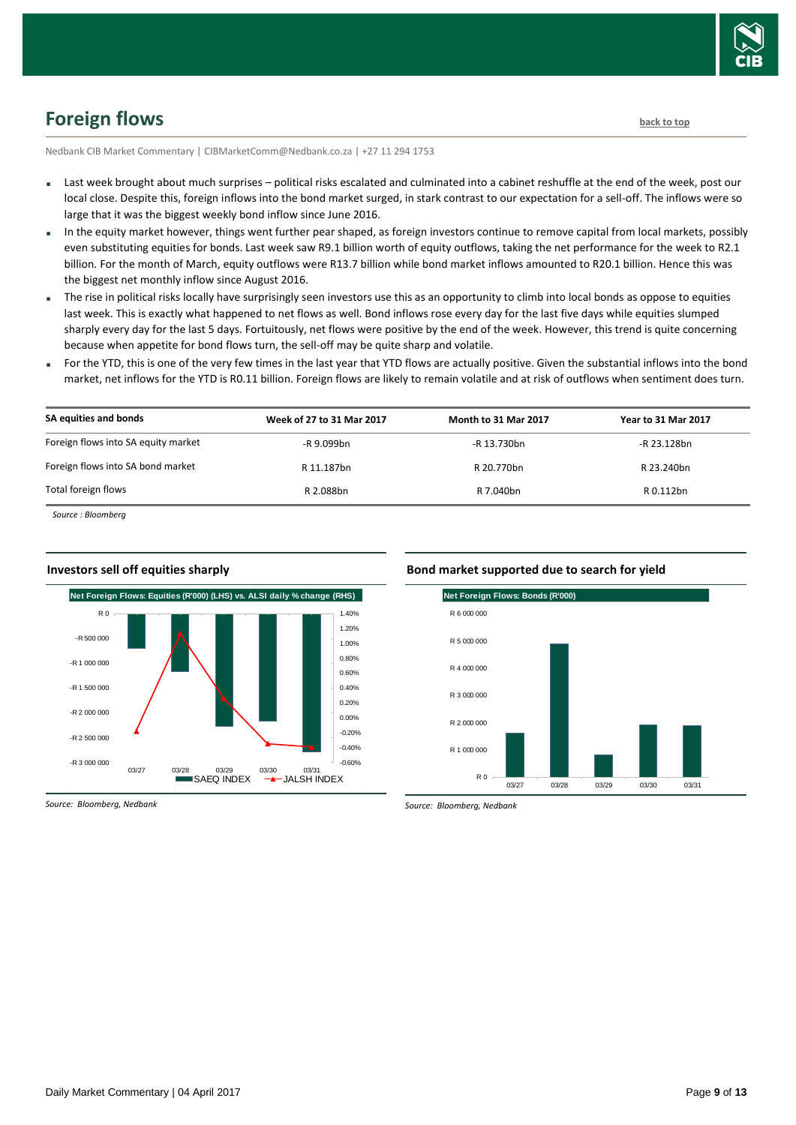

# <span id="page-8-0"></span>**Foreign flows [back to top](#page-0-0)**

Nedbank CIB Market Commentary | CIBMarketComm@Nedbank.co.za | +27 11 294 1753

- Last week brought about much surprises political risks escalated and culminated into a cabinet reshuffle at the end of the week, post our local close. Despite this, foreign inflows into the bond market surged, in stark contrast to our expectation for a sell-off. The inflows were so large that it was the biggest weekly bond inflow since June 2016.
- In the equity market however, things went further pear shaped, as foreign investors continue to remove capital from local markets, possibly even substituting equities for bonds. Last week saw R9.1 billion worth of equity outflows, taking the net performance for the week to R2.1 billion. For the month of March, equity outflows were R13.7 billion while bond market inflows amounted to R20.1 billion. Hence this was the biggest net monthly inflow since August 2016.
- The rise in political risks locally have surprisingly seen investors use this as an opportunity to climb into local bonds as oppose to equities last week. This is exactly what happened to net flows as well. Bond inflows rose every day for the last five days while equities slumped sharply every day for the last 5 days. Fortuitously, net flows were positive by the end of the week. However, this trend is quite concerning because when appetite for bond flows turn, the sell-off may be quite sharp and volatile.
- For the YTD, this is one of the very few times in the last year that YTD flows are actually positive. Given the substantial inflows into the bond market, net inflows for the YTD is R0.11 billion. Foreign flows are likely to remain volatile and at risk of outflows when sentiment does turn.

| SA equities and bonds               | Week of 27 to 31 Mar 2017 | <b>Month to 31 Mar 2017</b> | <b>Year to 31 Mar 2017</b> |
|-------------------------------------|---------------------------|-----------------------------|----------------------------|
| Foreign flows into SA equity market | -R 9.099bn                | -R 13.730bn                 | -R 23.128bn                |
| Foreign flows into SA bond market   | R 11.187bn                | R 20.770bn                  | R 23.240bn                 |
| Total foreign flows                 | R 2.088bn                 | R 7.040bn                   | R 0.112bn                  |

*Source : Bloomberg*



#### **Investors sell off equities sharply**





*Source: Bloomberg, Nedbank*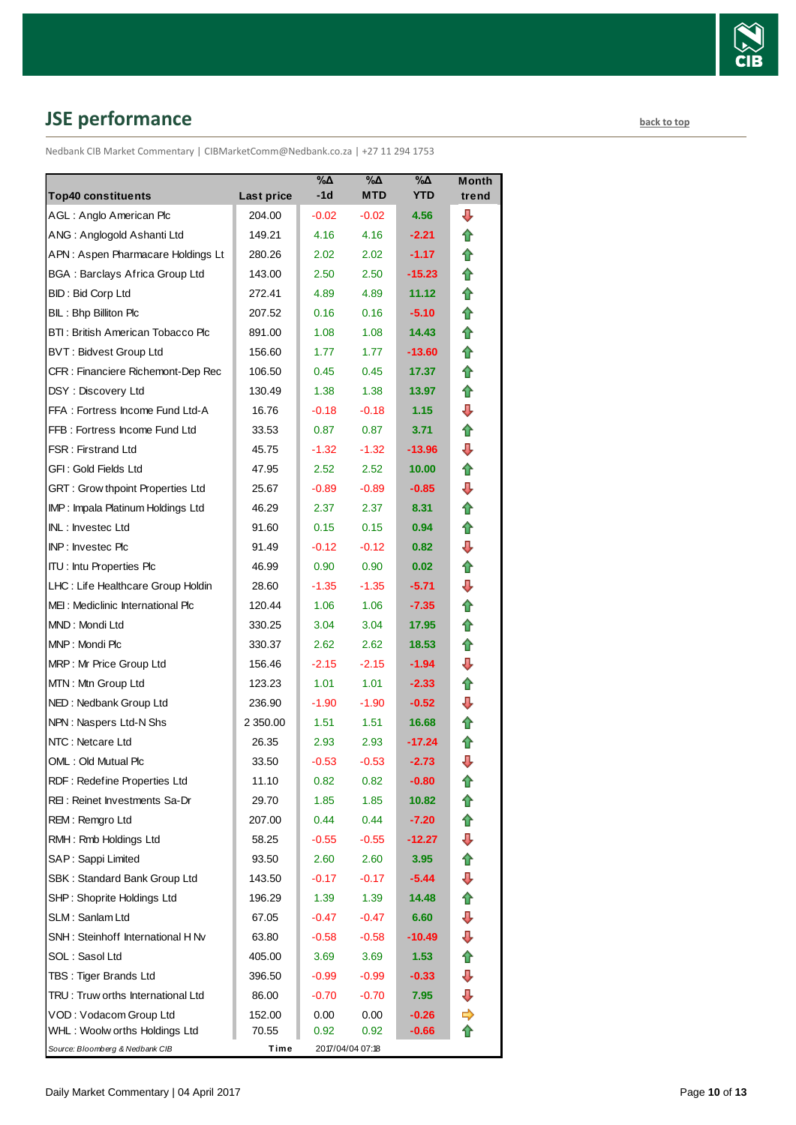

# <span id="page-9-0"></span>**JSE performance [back to top](#page-0-0)**

Nedbank CIB Market Commentary | CIBMarketComm@Nedbank.co.za | +27 11 294 1753

| <b>Top40 constituents</b>             | Last price | %Δ<br>-1d | %Δ<br><b>MTD</b> | %Δ<br><b>YTD</b>  | <b>Month</b><br>trend |
|---------------------------------------|------------|-----------|------------------|-------------------|-----------------------|
| AGL: Anglo American Plc               | 204.00     | $-0.02$   | $-0.02$          | 4.56              | ⊕                     |
| ANG: Anglogold Ashanti Ltd            | 149.21     | 4.16      | 4.16             | $-2.21$           | ⇑                     |
| APN: Aspen Pharmacare Holdings Lt     | 280.26     | 2.02      | 2.02             | $-1.17$           | ⇑                     |
| <b>BGA: Barclays Africa Group Ltd</b> | 143.00     | 2.50      | 2.50             | $-15.23$          | ⇑                     |
| <b>BID: Bid Corp Ltd</b>              | 272.41     | 4.89      | 4.89             | 11.12             | ⇑                     |
| BIL: Bhp Billiton Plc                 | 207.52     | 0.16      | 0.16             | $-5.10$           | ✿                     |
| BTI: British American Tobacco Plc     | 891.00     | 1.08      | 1.08             | 14.43             | ⇑                     |
| <b>BVT: Bidvest Group Ltd</b>         | 156.60     | 1.77      | 1.77             | $-13.60$          | ⇑                     |
| CFR : Financiere Richemont-Dep Rec    | 106.50     | 0.45      | 0.45             | 17.37             | ⇑                     |
| DSY: Discovery Ltd                    | 130.49     | 1.38      | 1.38             | 13.97             | ✿                     |
| FFA: Fortress Income Fund Ltd-A       | 16.76      | $-0.18$   | $-0.18$          | 1.15              | ⇩                     |
| FFB: Fortress Income Fund Ltd         | 33.53      | 0.87      | 0.87             | 3.71              | ⇑                     |
| <b>FSR: Firstrand Ltd</b>             | 45.75      | $-1.32$   | $-1.32$          | -13.96            | ⇩                     |
| GFI: Gold Fields Ltd                  | 47.95      | 2.52      | 2.52             | 10.00             | ⇑                     |
| GRT : Grow thpoint Properties Ltd     | 25.67      | $-0.89$   | $-0.89$          | $-0.85$           | ⇩                     |
| IMP: Impala Platinum Holdings Ltd     | 46.29      | 2.37      | 2.37             | 8.31              | ⇑                     |
| INL: Investec Ltd                     | 91.60      | 0.15      | 0.15             | 0.94              | ✿                     |
| INP: Investec Plc                     | 91.49      | $-0.12$   | $-0.12$          | 0.82 <sub>1</sub> | ⇩                     |
| <b>ITU: Intu Properties Plc</b>       | 46.99      | 0.90      | 0.90             | 0.02              | ✿                     |
| LHC: Life Healthcare Group Holdin     | 28.60      | $-1.35$   | $-1.35$          | $-5.71$           | ⇩                     |
| MEI: Mediclinic International Plc     | 120.44     | 1.06      | 1.06             | $-7.35$           | ✿                     |
| MND: Mondi Ltd                        | 330.25     | 3.04      | 3.04             | 17.95             | ⇑                     |
| MNP: Mondi Plc                        | 330.37     | 2.62      | 2.62             | 18.53             | ⇑                     |
| MRP: Mr Price Group Ltd               | 156.46     | $-2.15$   | $-2.15$          | $-1.94$           | ⊕                     |
| MTN: Mtn Group Ltd                    | 123.23     | 1.01      | 1.01             | $-2.33$           | 合                     |
| NED: Nedbank Group Ltd                | 236.90     | $-1.90$   | $-1.90$          | $-0.52$           | ⇩                     |
| NPN: Naspers Ltd-N Shs                | 2 350.00   | 1.51      | 1.51             | 16.68             | ⇑                     |
| NTC: Netcare Ltd                      | 26.35      | 2.93      | 2.93             | $-17.24$          | 合                     |
| OML: Old Mutual Plc                   | 33.50      | $-0.53$   | $-0.53$          | $-2.73$           | ⇩                     |
| RDF: Redefine Properties Ltd          | 11.10      | 0.82      | 0.82             | $-0.80$           | T                     |
| REI: Reinet Investments Sa-Dr         | 29.70      | 1.85      | 1.85             | 10.82             | ⇑                     |
| REM: Remgro Ltd                       | 207.00     | 0.44      | 0.44             | $-7.20$           | ⇮                     |
| RMH: Rmb Holdings Ltd                 | 58.25      | $-0.55$   | $-0.55$          | $-12.27$          | ⊕                     |
| SAP: Sappi Limited                    | 93.50      | 2.60      | 2.60             | 3.95              | 合                     |
| SBK: Standard Bank Group Ltd          | 143.50     | $-0.17$   | $-0.17$          | $-5.44$           | ⊕                     |
| SHP: Shoprite Holdings Ltd            | 196.29     | 1.39      | 1.39             | 14.48             | ⇑                     |
| SLM: Sanlam Ltd                       | 67.05      | $-0.47$   | $-0.47$          | 6.60              | ⊕                     |
| SNH: Steinhoff International H Nv     | 63.80      | $-0.58$   | $-0.58$          | $-10.49$          | ⊕                     |
| SOL: Sasol Ltd                        | 405.00     | 3.69      | 3.69             | 1.53              | ⇑                     |
| TBS: Tiger Brands Ltd                 | 396.50     | $-0.99$   | $-0.99$          | $-0.33$           | ⊕                     |
| TRU: Truw orths International Ltd     | 86.00      | $-0.70$   | $-0.70$          | 7.95              | ⇩                     |
| VOD: Vodacom Group Ltd                | 152.00     | 0.00      | 0.00             | $-0.26$           | ⇛                     |
| WHL: Woolw orths Holdings Ltd         | 70.55      | 0.92      | 0.92             | $-0.66$           | ✿                     |
| Source: Bloomberg & Nedbank CIB       | Time       |           | 2017/04/04 07:18 |                   |                       |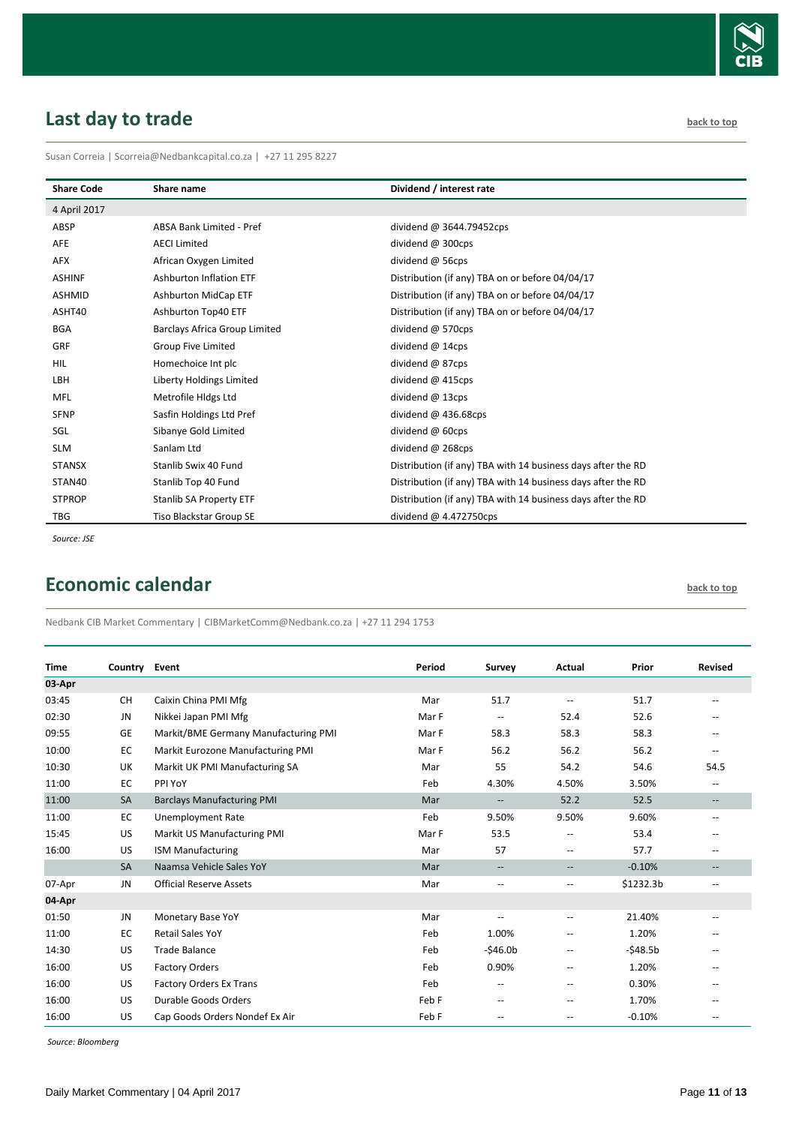

# <span id="page-10-0"></span>**Last day to trade back to the contract of the contract of the contract of the contract of the contract of the contract of the contract of the contract of the contract of the contract of the contract of the contract of t**

Susan Correia | [Scorreia@Nedbankcapital.co.za](mailto:Scorreia@Nedbankcapital.co.za) | +27 11 295 8227

| <b>Share Code</b> | Share name                      | Dividend / interest rate                                     |
|-------------------|---------------------------------|--------------------------------------------------------------|
| 4 April 2017      |                                 |                                                              |
| ABSP              | <b>ABSA Bank Limited - Pref</b> | dividend @ 3644.79452cps                                     |
| AFE               | <b>AECI Limited</b>             | dividend @ 300cps                                            |
| AFX               | African Oxygen Limited          | dividend @ 56cps                                             |
| <b>ASHINF</b>     | <b>Ashburton Inflation ETF</b>  | Distribution (if any) TBA on or before 04/04/17              |
| <b>ASHMID</b>     | <b>Ashburton MidCap ETF</b>     | Distribution (if any) TBA on or before 04/04/17              |
| ASHT40            | Ashburton Top40 ETF             | Distribution (if any) TBA on or before 04/04/17              |
| <b>BGA</b>        | Barclays Africa Group Limited   | dividend @ 570cps                                            |
| <b>GRF</b>        | Group Five Limited              | dividend @ 14cps                                             |
| <b>HIL</b>        | Homechoice Int plc              | dividend @ 87cps                                             |
| LBH               | Liberty Holdings Limited        | dividend @ 415cps                                            |
| <b>MFL</b>        | Metrofile Hidgs Ltd             | dividend $@$ 13cps                                           |
| <b>SFNP</b>       | Sasfin Holdings Ltd Pref        | dividend $@$ 436.68cps                                       |
| SGL               | Sibanye Gold Limited            | dividend @ 60cps                                             |
| <b>SLM</b>        | Sanlam Ltd                      | dividend @ 268cps                                            |
| <b>STANSX</b>     | Stanlib Swix 40 Fund            | Distribution (if any) TBA with 14 business days after the RD |
| STAN40            | Stanlib Top 40 Fund             | Distribution (if any) TBA with 14 business days after the RD |
| <b>STPROP</b>     | Stanlib SA Property ETF         | Distribution (if any) TBA with 14 business days after the RD |
| <b>TBG</b>        | Tiso Blackstar Group SE         | dividend $@$ 4.472750cps                                     |

*Source: JSE*

# <span id="page-10-1"></span>**Economic calendar [back to top](#page-0-0) back to top**

Nedbank CIB Market Commentary | CIBMarketComm@Nedbank.co.za | +27 11 294 1753

| <b>Time</b> | Country Event |                                      | Period | Survey                   | Actual                   | Prior     | <b>Revised</b>                                      |
|-------------|---------------|--------------------------------------|--------|--------------------------|--------------------------|-----------|-----------------------------------------------------|
| 03-Apr      |               |                                      |        |                          |                          |           |                                                     |
| 03:45       | <b>CH</b>     | Caixin China PMI Mfg                 | Mar    | 51.7                     | $\overline{a}$           | 51.7      | $\overline{\phantom{a}}$                            |
| 02:30       | <b>JN</b>     | Nikkei Japan PMI Mfg                 | Mar F  | --                       | 52.4                     | 52.6      |                                                     |
| 09:55       | GE            | Markit/BME Germany Manufacturing PMI | Mar F  | 58.3                     | 58.3                     | 58.3      |                                                     |
| 10:00       | EC            | Markit Eurozone Manufacturing PMI    | Mar F  | 56.2                     | 56.2                     | 56.2      | $\sim$ $\sim$                                       |
| 10:30       | <b>UK</b>     | Markit UK PMI Manufacturing SA       | Mar    | 55                       | 54.2                     | 54.6      | 54.5                                                |
| 11:00       | EC            | PPI YoY                              | Feb    | 4.30%                    | 4.50%                    | 3.50%     | $\overline{\phantom{a}}$                            |
| 11:00       | <b>SA</b>     | <b>Barclays Manufacturing PMI</b>    | Mar    | --                       | 52.2                     | 52.5      | $- -$                                               |
| 11:00       | EC            | <b>Unemployment Rate</b>             | Feb    | 9.50%                    | 9.50%                    | 9.60%     | $\overline{\phantom{a}}$                            |
| 15:45       | US            | Markit US Manufacturing PMI          | Mar F  | 53.5                     | $\overline{a}$           | 53.4      |                                                     |
| 16:00       | US            | <b>ISM Manufacturing</b>             | Mar    | 57                       | $\overline{a}$           | 57.7      | $\overline{\phantom{a}}$                            |
|             | <b>SA</b>     | Naamsa Vehicle Sales YoY             | Mar    | --                       | $\overline{\phantom{a}}$ | $-0.10%$  | $\overline{\phantom{a}}$                            |
| 07-Apr      | JN            | <b>Official Reserve Assets</b>       | Mar    | --                       | $\hspace{0.05cm} -$      | \$1232.3b | $\overline{\phantom{a}}$                            |
| 04-Apr      |               |                                      |        |                          |                          |           |                                                     |
| 01:50       | JN            | Monetary Base YoY                    | Mar    | $\overline{a}$           | $\overline{\phantom{a}}$ | 21.40%    |                                                     |
| 11:00       | EC            | <b>Retail Sales YoY</b>              | Feb    | 1.00%                    | $\overline{\phantom{a}}$ | 1.20%     |                                                     |
| 14:30       | US            | <b>Trade Balance</b>                 | Feb    | $-546.0b$                | $\overline{\phantom{a}}$ | $-548.5b$ | $\hspace{0.05cm} -\hspace{0.05cm} -\hspace{0.05cm}$ |
| 16:00       | US            | <b>Factory Orders</b>                | Feb    | 0.90%                    | $\overline{a}$           | 1.20%     |                                                     |
| 16:00       | US            | <b>Factory Orders Ex Trans</b>       | Feb    | --                       | $-$                      | 0.30%     |                                                     |
| 16:00       | US            | Durable Goods Orders                 | Feb F  | --                       | $\overline{\phantom{a}}$ | 1.70%     |                                                     |
| 16:00       | US            | Cap Goods Orders Nondef Ex Air       | Feb F  | $\overline{\phantom{m}}$ | $\overline{\phantom{a}}$ | $-0.10%$  | $\hspace{0.05cm} -\hspace{0.05cm} -\hspace{0.05cm}$ |

*Source: Bloomberg*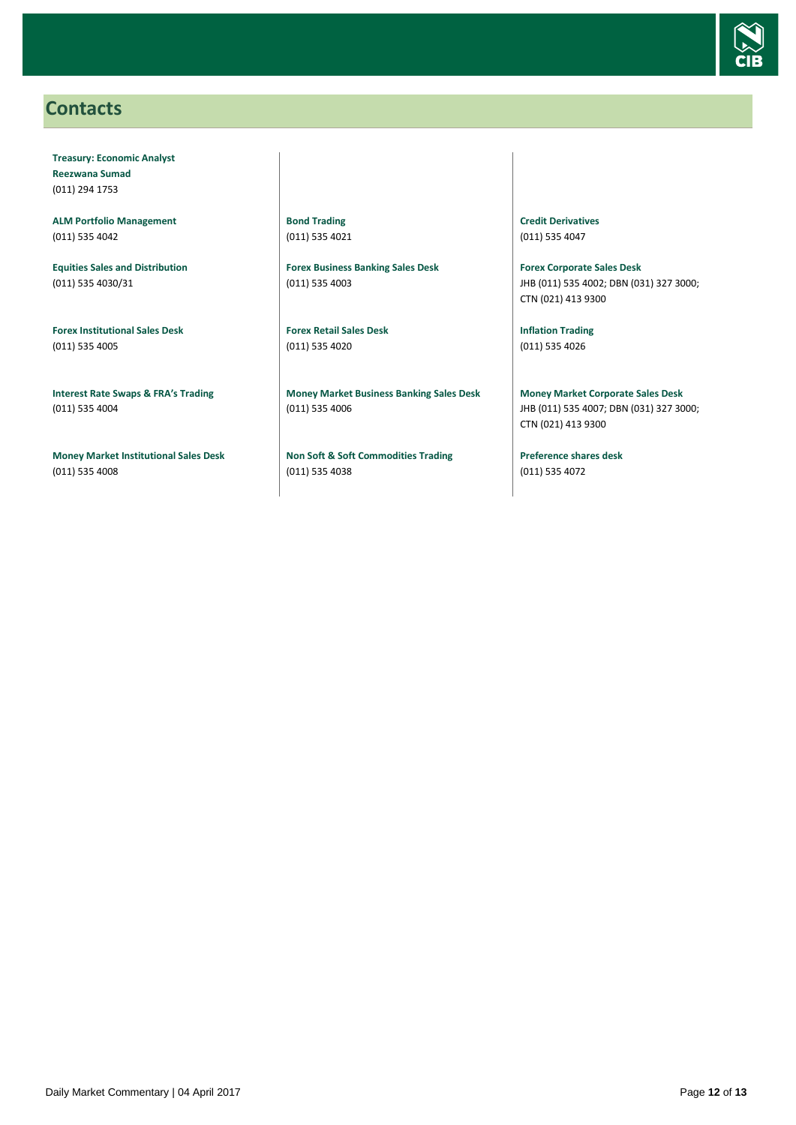

### <span id="page-11-0"></span>**Contacts**

**Treasury: Economic Analyst Reezwana Sumad** (011) 294 1753

**ALM Portfolio Management** (011) 535 4042

**Equities Sales and Distribution** (011) 535 4030/31

**Forex Institutional Sales Desk** (011) 535 4005

**Interest Rate Swaps & FRA's Trading** (011) 535 4004

**Money Market Institutional Sales Desk** (011) 535 4008

**Bond Trading** (011) 535 4021

**Forex Business Banking Sales Desk** (011) 535 4003

**Forex Retail Sales Desk** (011) 535 4020

**Money Market Business Banking Sales Desk** (011) 535 4006

**Non Soft & Soft Commodities Trading** (011) 535 4038

**Credit Derivatives**  (011) 535 4047

**Forex Corporate Sales Desk** JHB (011) 535 4002; DBN (031) 327 3000; CTN (021) 413 9300

**Inflation Trading** (011) 535 4026

**Money Market Corporate Sales Desk** JHB (011) 535 4007; DBN (031) 327 3000; CTN (021) 413 9300

**Preference shares desk** (011) 535 4072